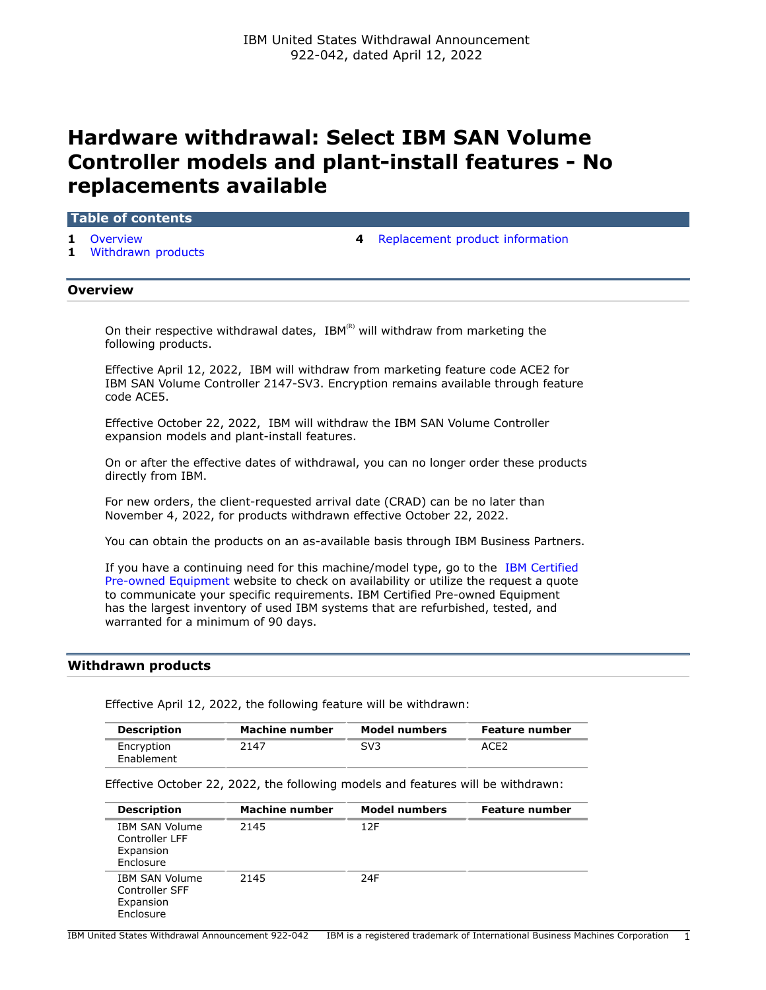# **Hardware withdrawal: Select IBM SAN Volume Controller models and plant-install features - No replacements available**

# **Table of contents**

- 
- **1** [Withdrawn products](#page-0-1)
- **1** [Overview](#page-0-0) **4** [Replacement product information](#page-3-0)

## <span id="page-0-0"></span>**Overview**

On their respective withdrawal dates,  $IBM^{(R)}$  will withdraw from marketing the following products.

Effective April 12, 2022, IBM will withdraw from marketing feature code ACE2 for IBM SAN Volume Controller 2147-SV3. Encryption remains available through feature code ACE5.

Effective October 22, 2022, IBM will withdraw the IBM SAN Volume Controller expansion models and plant-install features.

On or after the effective dates of withdrawal, you can no longer order these products directly from IBM.

For new orders, the client-requested arrival date (CRAD) can be no later than November 4, 2022, for products withdrawn effective October 22, 2022.

You can obtain the products on an as-available basis through IBM Business Partners.

If you have a continuing need for this machine/model type, go to the [IBM Certified](https://www.ibm.com/financing/pre-owned/ibm-certified-used-equipment) [Pre-owned Equipment](https://www.ibm.com/financing/pre-owned/ibm-certified-used-equipment) website to check on availability or utilize the request a quote to communicate your specific requirements. IBM Certified Pre-owned Equipment has the largest inventory of used IBM systems that are refurbished, tested, and warranted for a minimum of 90 days.

# <span id="page-0-1"></span>**Withdrawn products**

Effective April 12, 2022, the following feature will be withdrawn:

| <b>Description</b>       | Machine number | Model numbers | <b>Feature number</b> |
|--------------------------|----------------|---------------|-----------------------|
| Encryption<br>Enablement | 2147           | SV3           | ACE2                  |

Effective October 22, 2022, the following models and features will be withdrawn:

| <b>Description</b>                                                | Machine number | <b>Model numbers</b> | <b>Feature number</b> |
|-------------------------------------------------------------------|----------------|----------------------|-----------------------|
| <b>IBM SAN Volume</b><br>Controller LFF<br>Expansion<br>Enclosure | 2145           | 12F                  |                       |
| <b>IBM SAN Volume</b><br>Controller SFF<br>Expansion<br>Enclosure | 2145           | 24F                  |                       |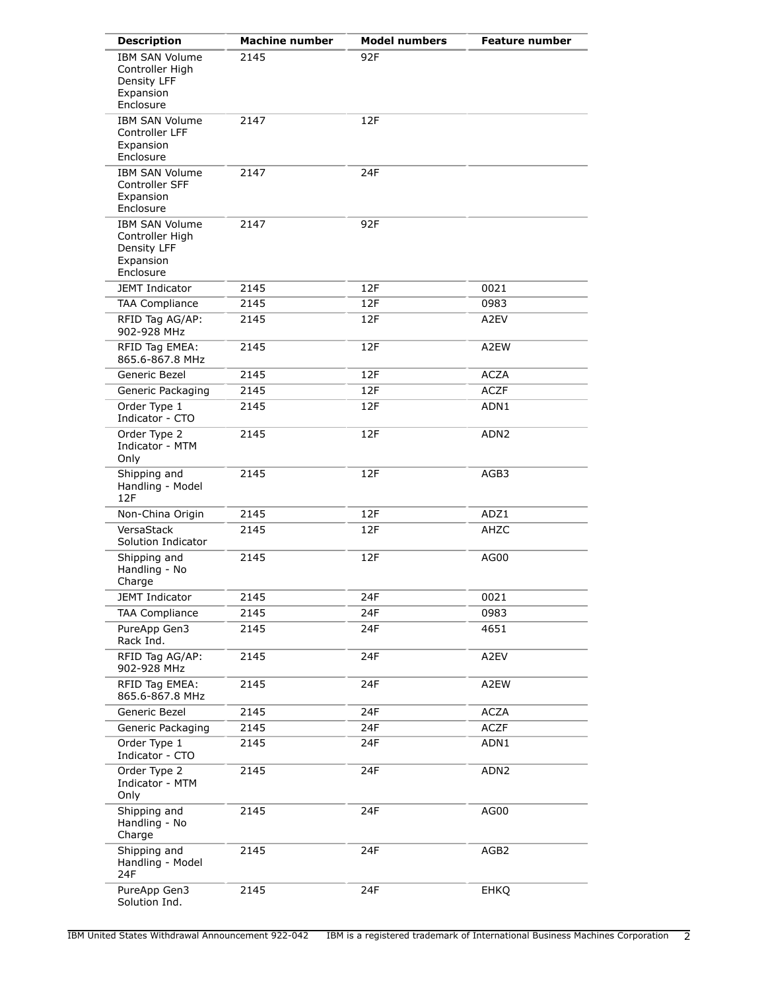| <b>Description</b>                                                                | <b>Machine number</b> | <b>Model numbers</b> | <b>Feature number</b> |
|-----------------------------------------------------------------------------------|-----------------------|----------------------|-----------------------|
| <b>IBM SAN Volume</b><br>Controller High<br>Density LFF<br>Expansion<br>Enclosure | 2145                  | 92F                  |                       |
| <b>IBM SAN Volume</b><br>Controller LFF<br>Expansion<br>Enclosure                 | 2147                  | 12F                  |                       |
| <b>IBM SAN Volume</b><br>Controller SFF<br>Expansion<br>Enclosure                 | 2147                  | 24F                  |                       |
| <b>IBM SAN Volume</b><br>Controller High<br>Density LFF<br>Expansion<br>Enclosure | 2147                  | 92F                  |                       |
| <b>JEMT Indicator</b>                                                             | 2145                  | 12F                  | 0021                  |
| <b>TAA Compliance</b>                                                             | 2145                  | 12F                  | 0983                  |
| RFID Tag AG/AP:<br>902-928 MHz                                                    | 2145                  | 12F                  | A2EV                  |
| RFID Tag EMEA:<br>865.6-867.8 MHz                                                 | 2145                  | 12F                  | A2EW                  |
| Generic Bezel                                                                     | 2145                  | 12F                  | <b>ACZA</b>           |
| Generic Packaging                                                                 | 2145                  | 12F                  | <b>ACZF</b>           |
| Order Type 1<br>Indicator - CTO                                                   | 2145                  | 12F                  | ADN1                  |
| Order Type 2<br>Indicator - MTM<br>Only                                           | 2145                  | 12F                  | ADN2                  |
| Shipping and<br>Handling - Model<br>12F                                           | 2145                  | 12F                  | AGB3                  |
| Non-China Origin                                                                  | 2145                  | 12F                  | ADZ1                  |
| VersaStack<br>Solution Indicator                                                  | 2145                  | 12F                  | AHZC                  |
| Shipping and<br>Handling - No<br>Charge                                           | 2145                  | 12F                  | AG00                  |
| JEMT Indicator                                                                    | 2145                  | 24F                  | 0021                  |
| <b>TAA Compliance</b>                                                             | 2145                  | 24F                  | 0983                  |
| PureApp Gen3<br>Rack Ind.                                                         | 2145                  | 24F                  | 4651                  |
| RFID Tag AG/AP:<br>902-928 MHz                                                    | 2145                  | 24F                  | A2EV                  |
| RFID Tag EMEA:<br>865.6-867.8 MHz                                                 | 2145                  | 24F                  | A2EW                  |
| Generic Bezel                                                                     | 2145                  | 24F                  | <b>ACZA</b>           |
| Generic Packaging                                                                 | 2145                  | 24F                  | <b>ACZF</b>           |
| Order Type 1<br>Indicator - CTO                                                   | 2145                  | 24F                  | ADN1                  |
| Order Type 2<br>Indicator - MTM<br>Only                                           | 2145                  | 24F                  | ADN <sub>2</sub>      |
| Shipping and<br>Handling - No<br>Charge                                           | 2145                  | 24F                  | AG00                  |
| Shipping and<br>Handling - Model<br>24F                                           | 2145                  | 24F                  | AGB2                  |
| PureApp Gen3<br>Solution Ind.                                                     | 2145                  | 24F                  | <b>EHKQ</b>           |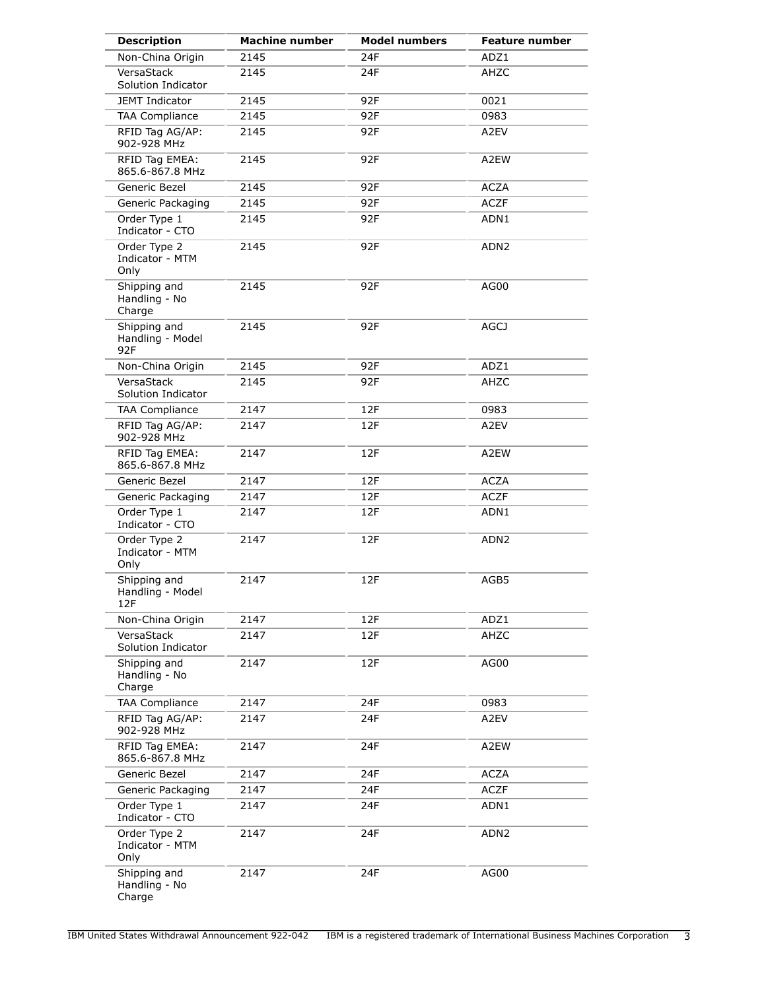| <b>Description</b>                      | <b>Machine number</b> | <b>Model numbers</b> | <b>Feature number</b> |
|-----------------------------------------|-----------------------|----------------------|-----------------------|
| Non-China Origin                        | 2145                  | 24F                  | ADZ1                  |
| VersaStack<br>Solution Indicator        | 2145                  | 24F                  | AHZC                  |
| JEMT Indicator                          | 2145                  | 92F                  | 0021                  |
| <b>TAA Compliance</b>                   | 2145                  | 92F                  | 0983                  |
| RFID Tag AG/AP:<br>902-928 MHz          | 2145                  | 92F                  | A2EV                  |
| RFID Tag EMEA:<br>865.6-867.8 MHz       | 2145                  | 92F                  | A2EW                  |
| Generic Bezel                           | 2145                  | 92F                  | <b>ACZA</b>           |
| Generic Packaging                       | 2145                  | 92F                  | <b>ACZF</b>           |
| Order Type 1<br>Indicator - CTO         | 2145                  | 92F                  | ADN1                  |
| Order Type 2<br>Indicator - MTM<br>Only | 2145                  | 92F                  | ADN <sub>2</sub>      |
| Shipping and<br>Handling - No<br>Charge | 2145                  | 92F                  | AG00                  |
| Shipping and<br>Handling - Model<br>92F | 2145                  | 92F                  | <b>AGCJ</b>           |
| Non-China Origin                        | 2145                  | 92F                  | ADZ1                  |
| VersaStack<br>Solution Indicator        | 2145                  | 92F                  | AHZC                  |
| <b>TAA Compliance</b>                   | 2147                  | 12F                  | 0983                  |
| RFID Tag AG/AP:<br>902-928 MHz          | 2147                  | 12F                  | A2EV                  |
| RFID Tag EMEA:<br>865.6-867.8 MHz       | 2147                  | 12F                  | A2EW                  |
| Generic Bezel                           | 2147                  | 12F                  | <b>ACZA</b>           |
| Generic Packaging                       | 2147                  | 12F                  | <b>ACZF</b>           |
| Order Type 1<br>Indicator - CTO         | 2147                  | 12F                  | ADN1                  |
| Order Type 2<br>Indicator - MTM<br>Only | 2147                  | 12F                  | ADN <sub>2</sub>      |
| Shipping and<br>Handling - Model<br>12F | 2147                  | 12F                  | AGB5                  |
| Non-China Origin                        | 2147                  | 12F                  | ADZ1                  |
| VersaStack<br>Solution Indicator        | 2147                  | 12F                  | AHZC                  |
| Shipping and<br>Handling - No<br>Charge | 2147                  | 12F                  | AG00                  |
| <b>TAA Compliance</b>                   | 2147                  | 24F                  | 0983                  |
| RFID Tag AG/AP:<br>902-928 MHz          | 2147                  | 24F                  | A2EV                  |
| RFID Tag EMEA:<br>865.6-867.8 MHz       | 2147                  | 24F                  | A2EW                  |
| Generic Bezel                           | 2147                  | 24F                  | <b>ACZA</b>           |
| Generic Packaging                       | 2147                  | 24F                  | <b>ACZF</b>           |
| Order Type 1<br>Indicator - CTO         | 2147                  | 24F                  | ADN1                  |
| Order Type 2<br>Indicator - MTM<br>Only | 2147                  | 24F                  | ADN <sub>2</sub>      |
| Shipping and<br>Handling - No<br>Charge | 2147                  | 24F                  | AG00                  |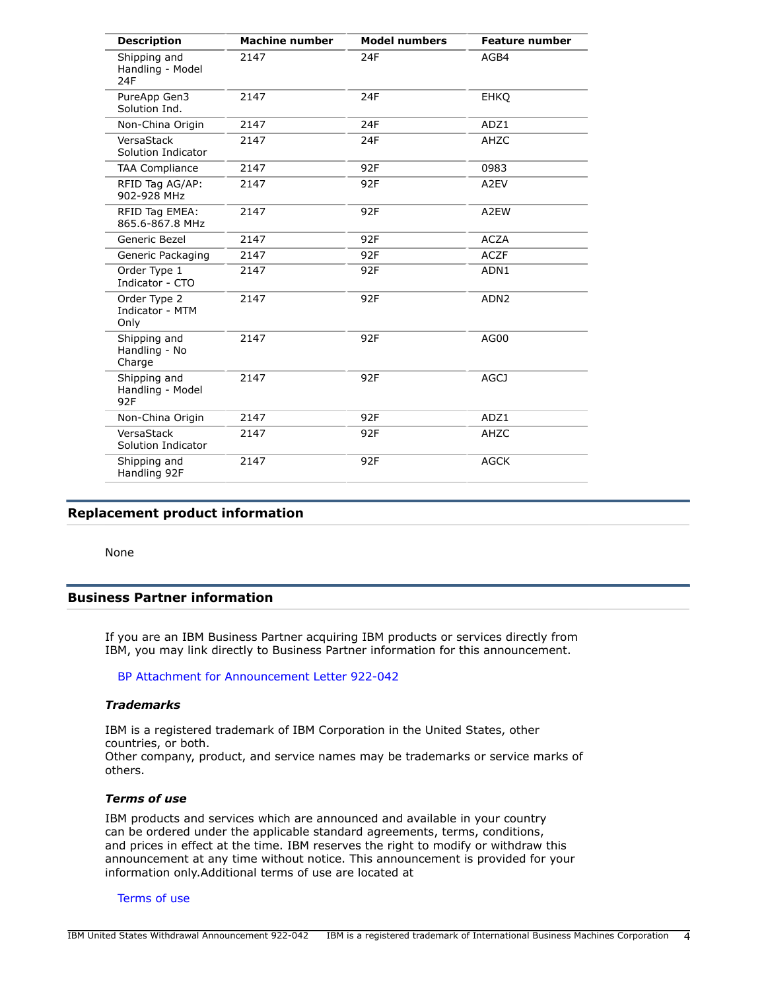| <b>Description</b>                      | <b>Machine number</b> | <b>Model numbers</b> | <b>Feature number</b> |
|-----------------------------------------|-----------------------|----------------------|-----------------------|
| Shipping and<br>Handling - Model<br>24F | 2147                  | 24F                  | AGB4                  |
| PureApp Gen3<br>Solution Ind.           | 2147                  | 24F                  | <b>EHKQ</b>           |
| Non-China Origin                        | 2147                  | 24F                  | ADZ1                  |
| VersaStack<br>Solution Indicator        | 2147                  | 24F                  | AHZC                  |
| <b>TAA Compliance</b>                   | 2147                  | 92F                  | 0983                  |
| RFID Tag AG/AP:<br>902-928 MHz          | 2147                  | 92F                  | A2EV                  |
| RFID Tag EMEA:<br>865.6-867.8 MHz       | 2147                  | 92F                  | A2EW                  |
| Generic Bezel                           | 2147                  | 92F                  | <b>ACZA</b>           |
| Generic Packaging                       | 2147                  | 92F                  | <b>ACZF</b>           |
| Order Type 1<br>Indicator - CTO         | 2147                  | 92F                  | ADN1                  |
| Order Type 2<br>Indicator - MTM<br>Only | 2147                  | 92F                  | ADN <sub>2</sub>      |
| Shipping and<br>Handling - No<br>Charge | 2147                  | 92F                  | AG00                  |
| Shipping and<br>Handling - Model<br>92F | 2147                  | 92F                  | <b>AGCJ</b>           |
| Non-China Origin                        | 2147                  | 92F                  | ADZ1                  |
| VersaStack<br>Solution Indicator        | 2147                  | 92F                  | AHZC                  |
| Shipping and<br>Handling 92F            | 2147                  | 92F                  | <b>AGCK</b>           |

# <span id="page-3-0"></span>**Replacement product information**

None

# **Business Partner information**

If you are an IBM Business Partner acquiring IBM products or services directly from IBM, you may link directly to Business Partner information for this announcement.

### [BP Attachment for Announcement Letter 922-042](https://www.ibm.com/partnerworld/mem/sla.jsp?num=922-042)

### *Trademarks*

IBM is a registered trademark of IBM Corporation in the United States, other countries, or both. Other company, product, and service names may be trademarks or service marks of others.

# *Terms of use*

IBM products and services which are announced and available in your country can be ordered under the applicable standard agreements, terms, conditions, and prices in effect at the time. IBM reserves the right to modify or withdraw this announcement at any time without notice. This announcement is provided for your information only.Additional terms of use are located at

#### [Terms of use](http://www.ibm.com/legal/us/en/)